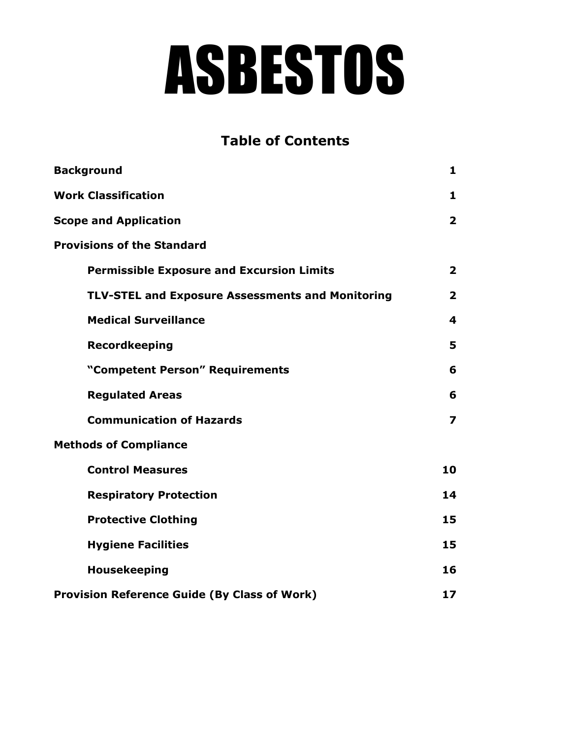# ASBESTOS

## **Table of Contents**

| <b>Background</b>                                       | 1                       |
|---------------------------------------------------------|-------------------------|
| <b>Work Classification</b>                              | $\mathbf{1}$            |
| <b>Scope and Application</b>                            | $\overline{\mathbf{2}}$ |
| <b>Provisions of the Standard</b>                       |                         |
| <b>Permissible Exposure and Excursion Limits</b>        | $\overline{\mathbf{2}}$ |
| <b>TLV-STEL and Exposure Assessments and Monitoring</b> | $\overline{\mathbf{2}}$ |
| <b>Medical Surveillance</b>                             | $\overline{\mathbf{A}}$ |
| <b>Recordkeeping</b>                                    | 5                       |
| "Competent Person" Requirements                         | 6                       |
| <b>Regulated Areas</b>                                  | 6                       |
| <b>Communication of Hazards</b>                         | $\overline{\mathbf{z}}$ |
| <b>Methods of Compliance</b>                            |                         |
| <b>Control Measures</b>                                 | 10                      |
| <b>Respiratory Protection</b>                           | 14                      |
| <b>Protective Clothing</b>                              | 15                      |
| <b>Hygiene Facilities</b>                               | 15                      |
| <b>Housekeeping</b>                                     | 16                      |
| <b>Provision Reference Guide (By Class of Work)</b>     | 17                      |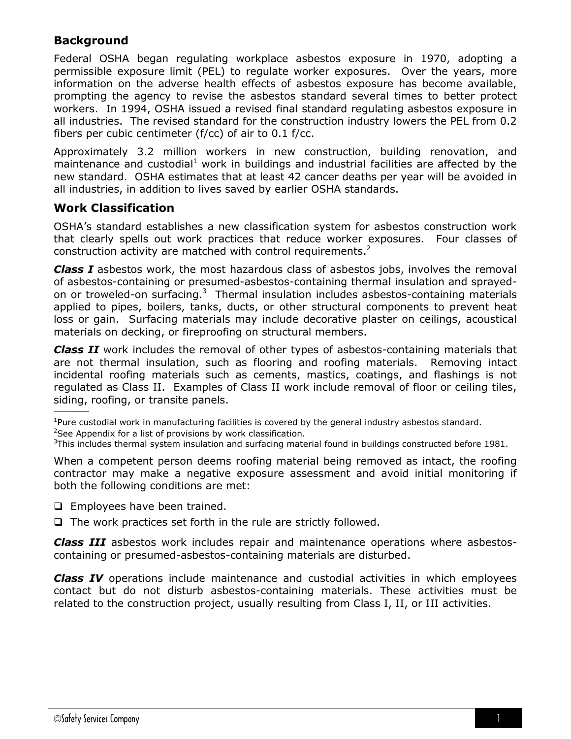## **Background**

Federal OSHA began regulating workplace asbestos exposure in 1970, adopting a permissible exposure limit (PEL) to regulate worker exposures. Over the years, more information on the adverse health effects of asbestos exposure has become available, prompting the agency to revise the asbestos standard several times to better protect workers. In 1994, OSHA issued a revised final standard regulating asbestos exposure in all industries. The revised standard for the construction industry lowers the PEL from 0.2 fibers per cubic centimeter ( $f$ /cc) of air to 0.1  $f$ /cc.

Approximately 3.2 million workers in new construction, building renovation, and maintenance and custodial<sup>1</sup> work in buildings and industrial facilities are affected by the new standard. OSHA estimates that at least 42 cancer deaths per year will be avoided in all industries, in addition to lives saved by earlier OSHA standards.

## **Work Classification**

 $\mathcal{L}=\mathcal{L}$ 

OSHA's standard establishes a new classification system for asbestos construction work that clearly spells out work practices that reduce worker exposures. Four classes of construction activity are matched with control requirements.<sup>2</sup>

*Class I* asbestos work, the most hazardous class of asbestos jobs, involves the removal of asbestos-containing or presumed-asbestos-containing thermal insulation and sprayedon or troweled-on surfacing.<sup>3</sup> Thermal insulation includes asbestos-containing materials applied to pipes, boilers, tanks, ducts, or other structural components to prevent heat loss or gain. Surfacing materials may include decorative plaster on ceilings, acoustical materials on decking, or fireproofing on structural members.

*Class II* work includes the removal of other types of asbestos-containing materials that are not thermal insulation, such as flooring and roofing materials. Removing intact incidental roofing materials such as cements, mastics, coatings, and flashings is not regulated as Class II. Examples of Class II work include removal of floor or ceiling tiles, siding, roofing, or transite panels.

 $1$ Pure custodial work in manufacturing facilities is covered by the general industry asbestos standard.

When a competent person deems roofing material being removed as intact, the roofing contractor may make a negative exposure assessment and avoid initial monitoring if both the following conditions are met:

- $\Box$  Employees have been trained.
- $\Box$  The work practices set forth in the rule are strictly followed.

*Class III* asbestos work includes repair and maintenance operations where asbestoscontaining or presumed-asbestos-containing materials are disturbed.

*Class IV* operations include maintenance and custodial activities in which employees contact but do not disturb asbestos-containing materials. These activities must be related to the construction project, usually resulting from Class I, II, or III activities.

<sup>&</sup>lt;sup>2</sup>See Appendix for a list of provisions by work classification.

 $3$ This includes thermal system insulation and surfacing material found in buildings constructed before 1981.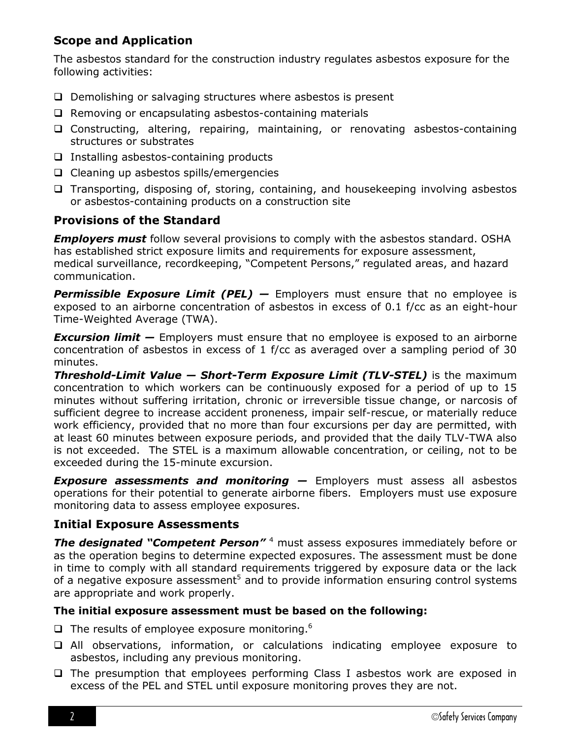## **Scope and Application**

The asbestos standard for the construction industry regulates asbestos exposure for the following activities:

- □ Demolishing or salvaging structures where asbestos is present
- $\Box$  Removing or encapsulating asbestos-containing materials
- Constructing, altering, repairing, maintaining, or renovating asbestos-containing structures or substrates
- $\Box$  Installing asbestos-containing products
- $\Box$  Cleaning up asbestos spills/emergencies
- $\Box$  Transporting, disposing of, storing, containing, and housekeeping involving asbestos or asbestos-containing products on a construction site

## **Provisions of the Standard**

*Employers must* follow several provisions to comply with the asbestos standard. OSHA has established strict exposure limits and requirements for exposure assessment, medical surveillance, recordkeeping, "Competent Persons," regulated areas, and hazard communication.

**Permissible Exposure Limit (PEL) –** Employers must ensure that no employee is exposed to an airborne concentration of asbestos in excess of 0.1 f/cc as an eight-hour Time-Weighted Average (TWA).

*Excursion limit —* Employers must ensure that no employee is exposed to an airborne concentration of asbestos in excess of 1 f/cc as averaged over a sampling period of 30 minutes.

*Threshold-Limit Value — Short-Term Exposure Limit (TLV-STEL)* is the maximum concentration to which workers can be continuously exposed for a period of up to 15 minutes without suffering irritation, chronic or irreversible tissue change, or narcosis of sufficient degree to increase accident proneness, impair self-rescue, or materially reduce work efficiency, provided that no more than four excursions per day are permitted, with at least 60 minutes between exposure periods, and provided that the daily TLV-TWA also is not exceeded. The STEL is a maximum allowable concentration, or ceiling, not to be exceeded during the 15-minute excursion.

*Exposure assessments and monitoring —* Employers must assess all asbestos operations for their potential to generate airborne fibers. Employers must use exposure monitoring data to assess employee exposures.

## **Initial Exposure Assessments**

**The designated "Competent Person"**<sup>4</sup> must assess exposures immediately before or as the operation begins to determine expected exposures. The assessment must be done in time to comply with all standard requirements triggered by exposure data or the lack of a negative exposure assessment<sup>5</sup> and to provide information ensuring control systems are appropriate and work properly.

## **The initial exposure assessment must be based on the following:**

- $\Box$  The results of employee exposure monitoring.<sup>6</sup>
- All observations, information, or calculations indicating employee exposure to asbestos, including any previous monitoring.
- $\Box$  The presumption that employees performing Class I asbestos work are exposed in excess of the PEL and STEL until exposure monitoring proves they are not.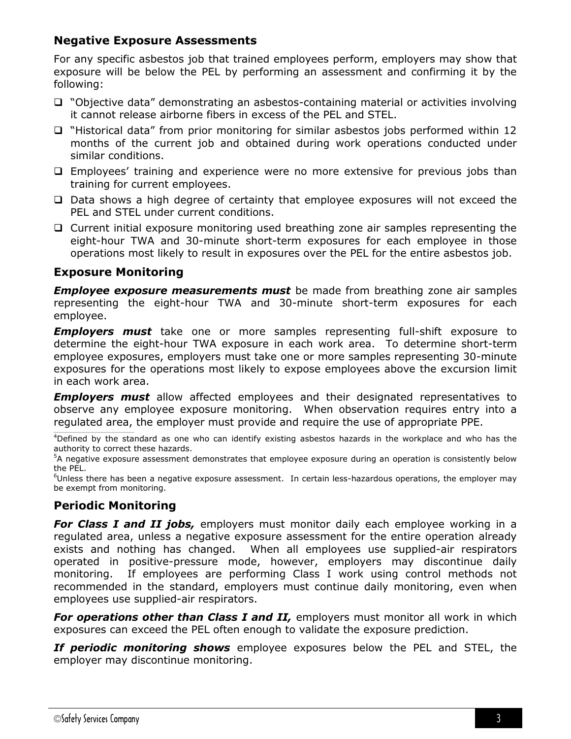## **Negative Exposure Assessments**

For any specific asbestos job that trained employees perform, employers may show that exposure will be below the PEL by performing an assessment and confirming it by the following:

- □ "Objective data" demonstrating an asbestos-containing material or activities involving it cannot release airborne fibers in excess of the PEL and STEL.
- "Historical data" from prior monitoring for similar asbestos jobs performed within 12 months of the current job and obtained during work operations conducted under similar conditions.
- Employees' training and experience were no more extensive for previous jobs than training for current employees.
- $\Box$  Data shows a high degree of certainty that employee exposures will not exceed the PEL and STEL under current conditions.
- Current initial exposure monitoring used breathing zone air samples representing the eight-hour TWA and 30-minute short-term exposures for each employee in those operations most likely to result in exposures over the PEL for the entire asbestos job.

## **Exposure Monitoring**

*Employee exposure measurements must* be made from breathing zone air samples representing the eight-hour TWA and 30-minute short-term exposures for each employee.

*Employers must* take one or more samples representing full-shift exposure to determine the eight-hour TWA exposure in each work area. To determine short-term employee exposures, employers must take one or more samples representing 30-minute exposures for the operations most likely to expose employees above the excursion limit in each work area.

*Employers must* allow affected employees and their designated representatives to observe any employee exposure monitoring. When observation requires entry into a regulated area, the employer must provide and require the use of appropriate PPE.

 $^4$ Defined by the standard as one who can identify existing asbestos hazards in the workplace and who has the authority to correct these hazards.

<sup>5</sup>A negative exposure assessment demonstrates that employee exposure during an operation is consistently below the PEL.

<sup>6</sup>Unless there has been a negative exposure assessment. In certain less-hazardous operations, the employer may be exempt from monitoring.

## **Periodic Monitoring**

*For Class I and II jobs,* employers must monitor daily each employee working in a regulated area, unless a negative exposure assessment for the entire operation already exists and nothing has changed. When all employees use supplied-air respirators operated in positive-pressure mode, however, employers may discontinue daily monitoring. If employees are performing Class I work using control methods not recommended in the standard, employers must continue daily monitoring, even when employees use supplied-air respirators.

*For operations other than Class I and II,* employers must monitor all work in which exposures can exceed the PEL often enough to validate the exposure prediction.

*If periodic monitoring shows* employee exposures below the PEL and STEL, the employer may discontinue monitoring.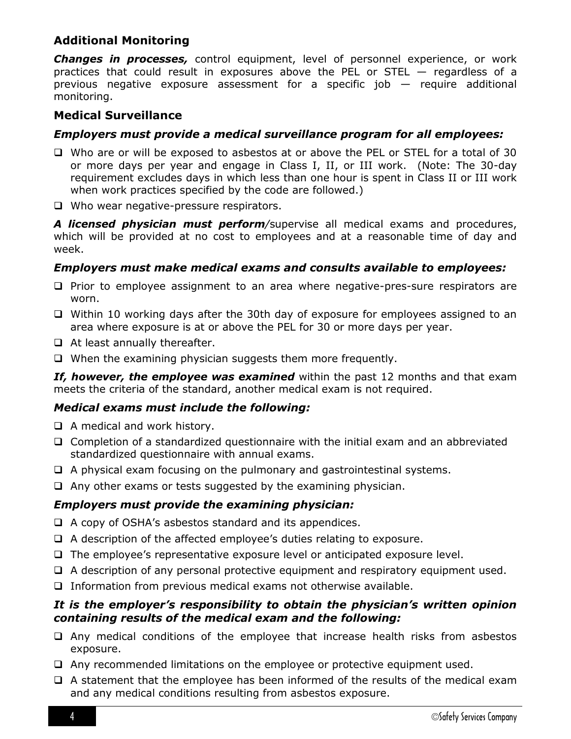## **Additional Monitoring**

*Changes in processes,* control equipment, level of personnel experience, or work practices that could result in exposures above the PEL or STEL — regardless of a previous negative exposure assessment for a specific job — require additional monitoring.

## **Medical Surveillance**

#### *Employers must provide a medical surveillance program for all employees:*

- Who are or will be exposed to asbestos at or above the PEL or STEL for a total of 30 or more days per year and engage in Class I, II, or III work. (Note: The 30-day requirement excludes days in which less than one hour is spent in Class II or III work when work practices specified by the code are followed.)
- Who wear negative-pressure respirators.

*A licensed physician must perform/*supervise all medical exams and procedures, which will be provided at no cost to employees and at a reasonable time of day and week.

## *Employers must make medical exams and consults available to employees:*

- $\Box$  Prior to employee assignment to an area where negative-pres-sure respirators are worn.
- $\Box$  Within 10 working days after the 30th day of exposure for employees assigned to an area where exposure is at or above the PEL for 30 or more days per year.
- $\Box$  At least annually thereafter.
- $\Box$  When the examining physician suggests them more frequently.

*If, however, the employee was examined* within the past 12 months and that exam meets the criteria of the standard, another medical exam is not required.

## *Medical exams must include the following:*

- $\Box$  A medical and work history.
- $\Box$  Completion of a standardized questionnaire with the initial exam and an abbreviated standardized questionnaire with annual exams.
- $\Box$  A physical exam focusing on the pulmonary and gastrointestinal systems.
- $\Box$  Any other exams or tests suggested by the examining physician.

## *Employers must provide the examining physician:*

- $\Box$  A copy of OSHA's asbestos standard and its appendices.
- $\Box$  A description of the affected employee's duties relating to exposure.
- $\Box$  The employee's representative exposure level or anticipated exposure level.
- $\Box$  A description of any personal protective equipment and respiratory equipment used.
- $\Box$  Information from previous medical exams not otherwise available.

#### *It is the employer's responsibility to obtain the physician's written opinion containing results of the medical exam and the following:*

- $\Box$  Any medical conditions of the employee that increase health risks from asbestos exposure.
- Any recommended limitations on the employee or protective equipment used.
- $\Box$  A statement that the employee has been informed of the results of the medical exam and any medical conditions resulting from asbestos exposure.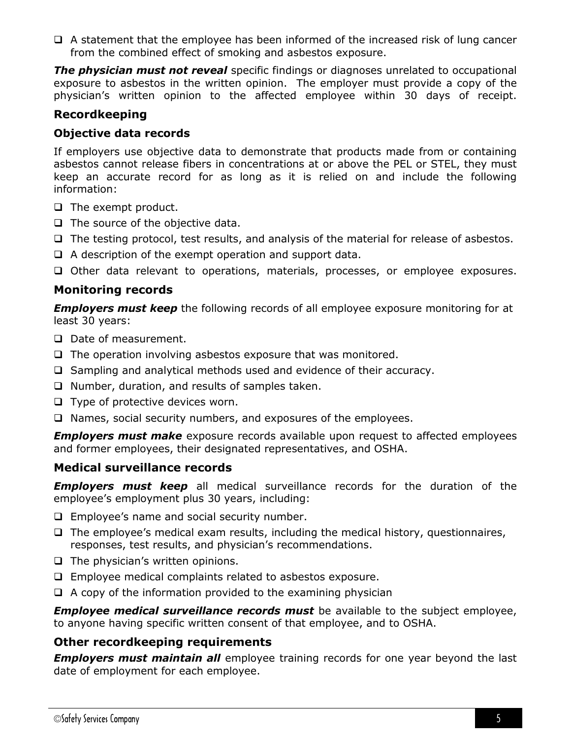$\Box$  A statement that the employee has been informed of the increased risk of lung cancer from the combined effect of smoking and asbestos exposure.

*The physician must not reveal* specific findings or diagnoses unrelated to occupational exposure to asbestos in the written opinion. The employer must provide a copy of the physician's written opinion to the affected employee within 30 days of receipt.

## **Recordkeeping**

#### **Objective data records**

If employers use objective data to demonstrate that products made from or containing asbestos cannot release fibers in concentrations at or above the PEL or STEL, they must keep an accurate record for as long as it is relied on and include the following information:

- $\Box$  The exempt product.
- $\Box$  The source of the objective data.
- $\Box$  The testing protocol, test results, and analysis of the material for release of asbestos.
- $\Box$  A description of the exempt operation and support data.
- Other data relevant to operations, materials, processes, or employee exposures.

## **Monitoring records**

*Employers must keep* the following records of all employee exposure monitoring for at least 30 years:

- D Date of measurement.
- $\Box$  The operation involving asbestos exposure that was monitored.
- $\Box$  Sampling and analytical methods used and evidence of their accuracy.
- $\Box$  Number, duration, and results of samples taken.
- $\Box$  Type of protective devices worn.
- $\Box$  Names, social security numbers, and exposures of the employees.

*Employers must make* exposure records available upon request to affected employees and former employees, their designated representatives, and OSHA.

## **Medical surveillance records**

*Employers must keep* all medical surveillance records for the duration of the employee's employment plus 30 years, including:

- $\Box$  Employee's name and social security number.
- $\Box$  The employee's medical exam results, including the medical history, questionnaires, responses, test results, and physician's recommendations.
- $\Box$  The physician's written opinions.
- Employee medical complaints related to asbestos exposure.
- $\Box$  A copy of the information provided to the examining physician

*Employee medical surveillance records must* be available to the subject employee, to anyone having specific written consent of that employee, and to OSHA.

## **Other recordkeeping requirements**

*Employers must maintain all* employee training records for one year beyond the last date of employment for each employee.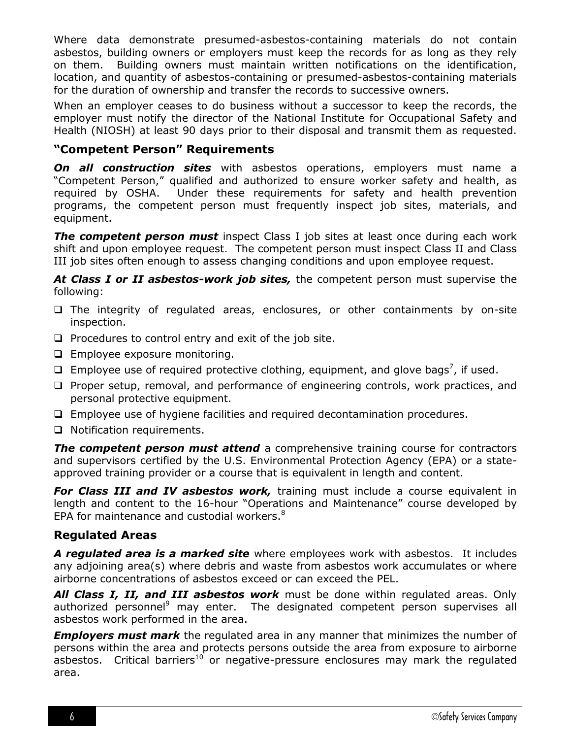Where data demonstrate presumed-asbestos-containing materials do not contain asbestos, building owners or employers must keep the records for as long as they rely on them. Building owners must maintain written notifications on the identification, location, and quantity of asbestos-containing or presumed-asbestos-containing materials for the duration of ownership and transfer the records to successive owners.

When an employer ceases to do business without a successor to keep the records, the employer must notify the director of the National Institute for Occupational Safety and Health (NIOSH) at least 90 days prior to their disposal and transmit them as requested.

## **"Competent Person" Requirements**

*On all construction sites* with asbestos operations, employers must name a "Competent Person," qualified and authorized to ensure worker safety and health, as required by OSHA. Under these requirements for safety and health prevention programs, the competent person must frequently inspect job sites, materials, and equipment.

**The competent person must** inspect Class I job sites at least once during each work shift and upon employee request. The competent person must inspect Class II and Class III job sites often enough to assess changing conditions and upon employee request.

*At Class I or II asbestos-work job sites,* the competent person must supervise the following:

- $\Box$  The integrity of regulated areas, enclosures, or other containments by on-site inspection.
- $\Box$  Procedures to control entry and exit of the job site.
- **Employee exposure monitoring.**
- $\Box$  Employee use of required protective clothing, equipment, and glove bags<sup>7</sup>, if used.
- $\Box$  Proper setup, removal, and performance of engineering controls, work practices, and personal protective equipment.
- Employee use of hygiene facilities and required decontamination procedures.
- □ Notification requirements.

**The competent person must attend** a comprehensive training course for contractors and supervisors certified by the U.S. Environmental Protection Agency (EPA) or a stateapproved training provider or a course that is equivalent in length and content.

**For Class III and IV asbestos work,** training must include a course equivalent in length and content to the 16-hour "Operations and Maintenance" course developed by EPA for maintenance and custodial workers. $8<sup>8</sup>$ 

## **Regulated Areas**

*A regulated area is a marked site* where employees work with asbestos. It includes any adjoining area(s) where debris and waste from asbestos work accumulates or where airborne concentrations of asbestos exceed or can exceed the PEL.

*All Class I, II, and III asbestos work* must be done within regulated areas. Only authorized personnel<sup>9</sup> may enter. The designated competent person supervises all asbestos work performed in the area.

*Employers must mark* the regulated area in any manner that minimizes the number of persons within the area and protects persons outside the area from exposure to airborne asbestos. Critical barriers<sup>10</sup> or negative-pressure enclosures may mark the regulated area.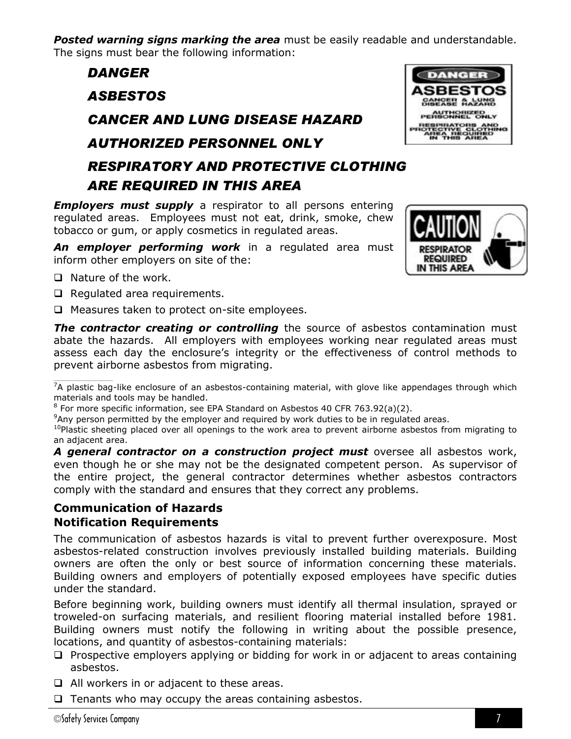**Posted warning signs marking the area** must be easily readable and understandable. The signs must bear the following information:

# *DANGER ASBESTOS CANCER AND LUNG DISEASE HAZARD AUTHORIZED PERSONNEL ONLY RESPIRATORY AND PROTECTIVE CLOTHING ARE REQUIRED IN THIS AREA*

*Employers must supply* a respirator to all persons entering regulated areas. Employees must not eat, drink, smoke, chew tobacco or gum, or apply cosmetics in regulated areas.

*An employer performing work* in a regulated area must inform other employers on site of the:

- $\Box$  Nature of the work.
- $\Box$  Regulated area requirements.
- $\Box$  Measures taken to protect on-site employees.

**The contractor creating or controlling** the source of asbestos contamination must abate the hazards. All employers with employees working near regulated areas must assess each day the enclosure's integrity or the effectiveness of control methods to prevent airborne asbestos from migrating.

 $\mathcal{L}_\text{max}$  and  $\mathcal{L}_\text{max}$  are the set of the set of the set of the set of the set of the set of the set of the set of the set of the set of the set of the set of the set of the set of the set of the set of the set o  $7A$  plastic bag-like enclosure of an asbestos-containing material, with glove like appendages through which materials and tools may be handled.

 $8$  For more specific information, see EPA Standard on Asbestos 40 CFR 763.92(a)(2).

<sup>9</sup>Any person permitted by the employer and required by work duties to be in regulated areas.

 $10P$  plastic sheeting placed over all openings to the work area to prevent airborne asbestos from migrating to an adjacent area.

*A general contractor on a construction project must* oversee all asbestos work, even though he or she may not be the designated competent person. As supervisor of the entire project, the general contractor determines whether asbestos contractors comply with the standard and ensures that they correct any problems.

## **Communication of Hazards Notification Requirements**

The communication of asbestos hazards is vital to prevent further overexposure. Most asbestos-related construction involves previously installed building materials. Building owners are often the only or best source of information concerning these materials. Building owners and employers of potentially exposed employees have specific duties under the standard.

Before beginning work, building owners must identify all thermal insulation, sprayed or troweled-on surfacing materials, and resilient flooring material installed before 1981. Building owners must notify the following in writing about the possible presence, locations, and quantity of asbestos-containing materials:

- $\Box$  Prospective employers applying or bidding for work in or adjacent to areas containing asbestos.
- □ All workers in or adjacent to these areas.
- $\Box$  Tenants who may occupy the areas containing asbestos.



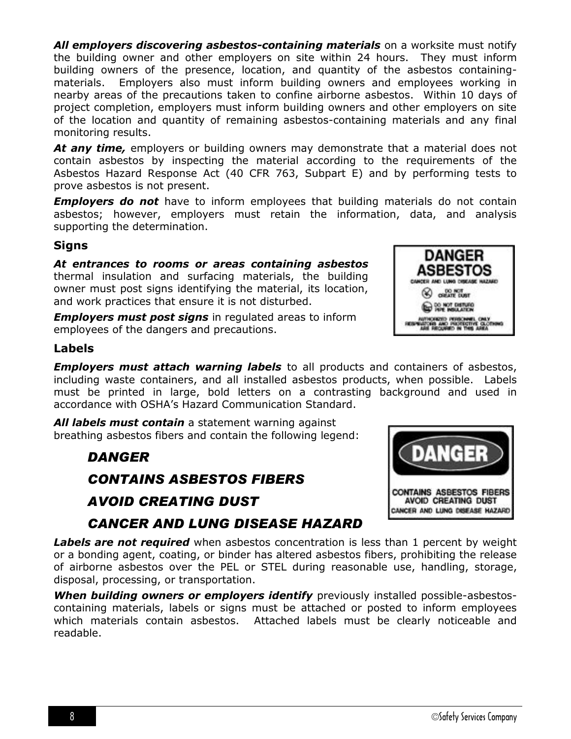*All employers discovering asbestos-containing materials* on a worksite must notify the building owner and other employers on site within 24 hours. They must inform building owners of the presence, location, and quantity of the asbestos containingmaterials. Employers also must inform building owners and employees working in nearby areas of the precautions taken to confine airborne asbestos. Within 10 days of project completion, employers must inform building owners and other employers on site of the location and quantity of remaining asbestos-containing materials and any final monitoring results.

*At any time,* employers or building owners may demonstrate that a material does not contain asbestos by inspecting the material according to the requirements of the Asbestos Hazard Response Act (40 CFR 763, Subpart E) and by performing tests to prove asbestos is not present.

*Employers do not* have to inform employees that building materials do not contain asbestos; however, employers must retain the information, data, and analysis supporting the determination.

## **Signs**

*At entrances to rooms or areas containing asbestos* thermal insulation and surfacing materials, the building owner must post signs identifying the material, its location, and work practices that ensure it is not disturbed.

*Employers must post signs* in regulated areas to inform employees of the dangers and precautions.

## **Labels**

*Employers must attach warning labels* to all products and containers of asbestos, including waste containers, and all installed asbestos products, when possible. Labels must be printed in large, bold letters on a contrasting background and used in accordance with OSHA's Hazard Communication Standard.

*All labels must contain* a statement warning against breathing asbestos fibers and contain the following legend:

## *DANGER*

*CONTAINS ASBESTOS FIBERS*

## *AVOID CREATING DUST*

## *CANCER AND LUNG DISEASE HAZARD*

**Labels are not required** when asbestos concentration is less than 1 percent by weight or a bonding agent, coating, or binder has altered asbestos fibers, prohibiting the release of airborne asbestos over the PEL or STEL during reasonable use, handling, storage, disposal, processing, or transportation.

*When building owners or employers identify* previously installed possible-asbestoscontaining materials, labels or signs must be attached or posted to inform employees which materials contain asbestos. Attached labels must be clearly noticeable and readable.



**DANGER** ASBESTOS CANCER AND LING DISEASE HAZARD CHELTE DUST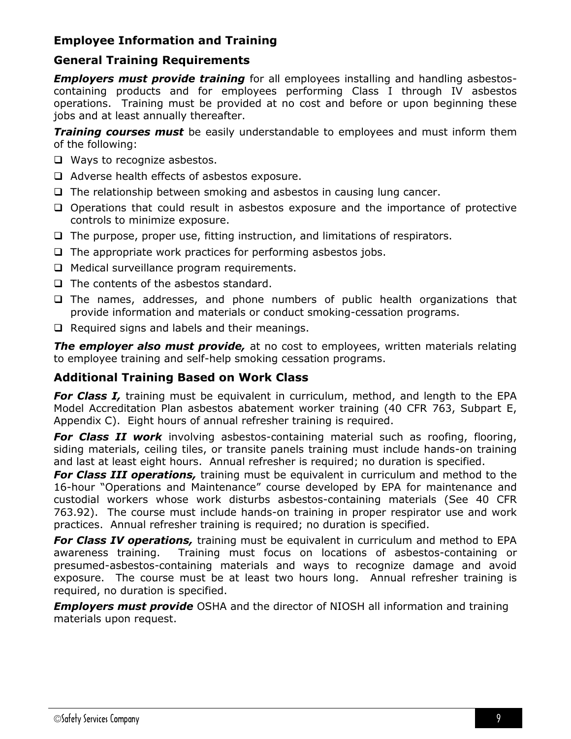## **Employee Information and Training**

## **General Training Requirements**

*Employers must provide training* for all employees installing and handling asbestoscontaining products and for employees performing Class I through IV asbestos operations. Training must be provided at no cost and before or upon beginning these jobs and at least annually thereafter.

*Training courses must* be easily understandable to employees and must inform them of the following:

- □ Ways to recognize asbestos.
- $\Box$  Adverse health effects of asbestos exposure.
- $\Box$  The relationship between smoking and asbestos in causing lung cancer.
- $\Box$  Operations that could result in asbestos exposure and the importance of protective controls to minimize exposure.
- $\Box$  The purpose, proper use, fitting instruction, and limitations of respirators.
- $\Box$  The appropriate work practices for performing asbestos jobs.
- **Q** Medical surveillance program requirements.
- $\Box$  The contents of the asbestos standard.
- $\Box$  The names, addresses, and phone numbers of public health organizations that provide information and materials or conduct smoking-cessation programs.
- $\Box$  Required signs and labels and their meanings.

**The employer also must provide**, at no cost to employees, written materials relating to employee training and self-help smoking cessation programs.

## **Additional Training Based on Work Class**

**For Class I**, training must be equivalent in curriculum, method, and length to the EPA Model Accreditation Plan asbestos abatement worker training (40 CFR 763, Subpart E, Appendix C). Eight hours of annual refresher training is required.

*For Class II work* involving asbestos-containing material such as roofing, flooring, siding materials, ceiling tiles, or transite panels training must include hands-on training and last at least eight hours. Annual refresher is required; no duration is specified.

*For Class III operations,* training must be equivalent in curriculum and method to the 16-hour "Operations and Maintenance" course developed by EPA for maintenance and custodial workers whose work disturbs asbestos-containing materials (See 40 CFR 763.92). The course must include hands-on training in proper respirator use and work practices. Annual refresher training is required; no duration is specified.

*For Class IV operations,* training must be equivalent in curriculum and method to EPA awareness training. Training must focus on locations of asbestos-containing or presumed-asbestos-containing materials and ways to recognize damage and avoid exposure. The course must be at least two hours long. Annual refresher training is required, no duration is specified.

*Employers must provide* OSHA and the director of NIOSH all information and training materials upon request.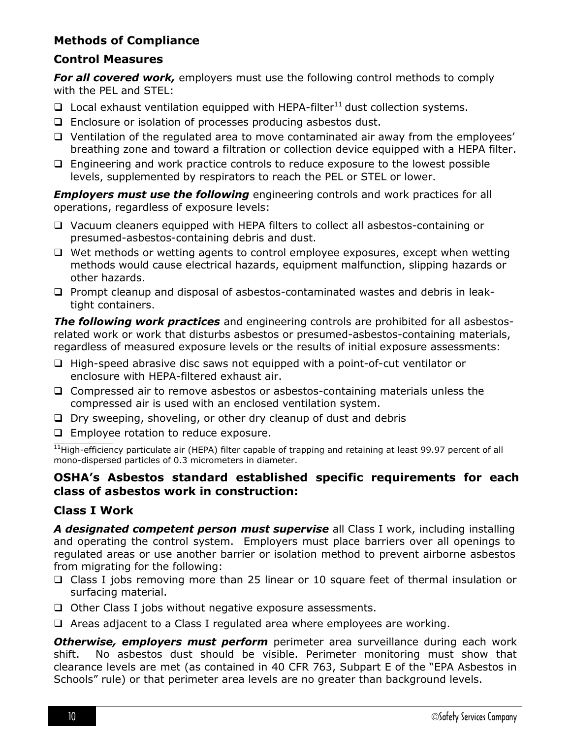## **Methods of Compliance**

## **Control Measures**

*For all covered work,* employers must use the following control methods to comply with the PEL and STEL:

- $\Box$  Local exhaust ventilation equipped with HEPA-filter<sup>11</sup> dust collection systems.
- □ Enclosure or isolation of processes producing asbestos dust.
- Ventilation of the regulated area to move contaminated air away from the employees' breathing zone and toward a filtration or collection device equipped with a HEPA filter.
- $\square$  Engineering and work practice controls to reduce exposure to the lowest possible levels, supplemented by respirators to reach the PEL or STEL or lower.

*Employers must use the following* engineering controls and work practices for all operations, regardless of exposure levels:

- Vacuum cleaners equipped with HEPA filters to collect all asbestos-containing or presumed-asbestos-containing debris and dust.
- $\Box$  Wet methods or wetting agents to control employee exposures, except when wetting methods would cause electrical hazards, equipment malfunction, slipping hazards or other hazards.
- Prompt cleanup and disposal of asbestos-contaminated wastes and debris in leaktight containers.

*The following work practices* and engineering controls are prohibited for all asbestosrelated work or work that disturbs asbestos or presumed-asbestos-containing materials, regardless of measured exposure levels or the results of initial exposure assessments:

- $\Box$  High-speed abrasive disc saws not equipped with a point-of-cut ventilator or enclosure with HEPA-filtered exhaust air.
- Compressed air to remove asbestos or asbestos-containing materials unless the compressed air is used with an enclosed ventilation system.
- $\Box$  Dry sweeping, shoveling, or other dry cleanup of dust and debris
- **Employee rotation to reduce exposure.**

\_\_\_\_\_\_\_\_\_\_\_\_\_\_\_\_\_\_\_\_\_\_\_\_\_  $11$ High-efficiency particulate air (HEPA) filter capable of trapping and retaining at least 99.97 percent of all mono-dispersed particles of 0.3 micrometers in diameter.

## **OSHA's Asbestos standard established specific requirements for each class of asbestos work in construction:**

## **Class I Work**

*A designated competent person must supervise* all Class I work, including installing and operating the control system. Employers must place barriers over all openings to regulated areas or use another barrier or isolation method to prevent airborne asbestos from migrating for the following:

- Class I jobs removing more than 25 linear or 10 square feet of thermal insulation or surfacing material.
- $\Box$  Other Class I jobs without negative exposure assessments.
- $\Box$  Areas adjacent to a Class I regulated area where employees are working.

**Otherwise, employers must perform** perimeter area surveillance during each work shift. No asbestos dust should be visible. Perimeter monitoring must show that clearance levels are met (as contained in 40 CFR 763, Subpart E of the "EPA Asbestos in Schools" rule) or that perimeter area levels are no greater than background levels.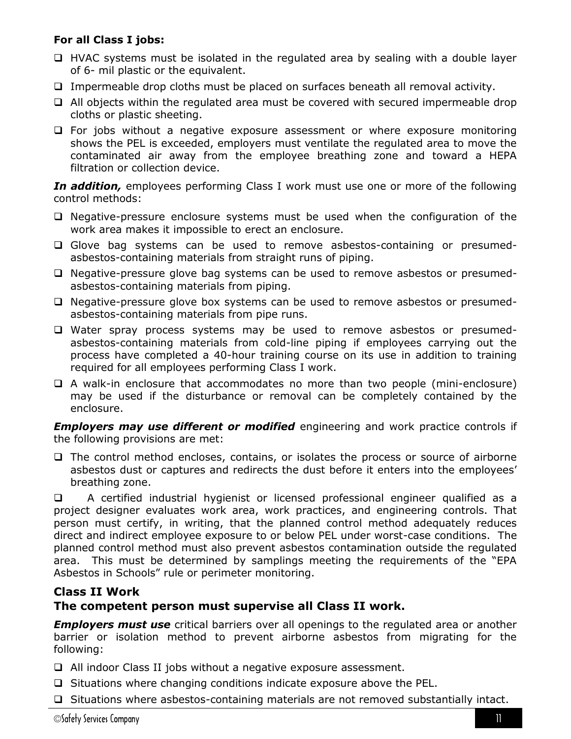## **For all Class I jobs:**

- $\Box$  HVAC systems must be isolated in the regulated area by sealing with a double layer of 6- mil plastic or the equivalent.
- $\Box$  Impermeable drop cloths must be placed on surfaces beneath all removal activity.
- $\Box$  All objects within the regulated area must be covered with secured impermeable drop cloths or plastic sheeting.
- $\Box$  For jobs without a negative exposure assessment or where exposure monitoring shows the PEL is exceeded, employers must ventilate the regulated area to move the contaminated air away from the employee breathing zone and toward a HEPA filtration or collection device.

*In addition,* employees performing Class I work must use one or more of the following control methods:

- $\Box$  Negative-pressure enclosure systems must be used when the configuration of the work area makes it impossible to erect an enclosure.
- Glove bag systems can be used to remove asbestos-containing or presumedasbestos-containing materials from straight runs of piping.
- $\Box$  Negative-pressure glove bag systems can be used to remove asbestos or presumedasbestos-containing materials from piping.
- $\Box$  Negative-pressure glove box systems can be used to remove asbestos or presumedasbestos-containing materials from pipe runs.
- Water spray process systems may be used to remove asbestos or presumedasbestos-containing materials from cold-line piping if employees carrying out the process have completed a 40-hour training course on its use in addition to training required for all employees performing Class I work.
- A walk-in enclosure that accommodates no more than two people (mini-enclosure) may be used if the disturbance or removal can be completely contained by the enclosure.

*Employers may use different or modified* engineering and work practice controls if the following provisions are met:

 $\Box$  The control method encloses, contains, or isolates the process or source of airborne asbestos dust or captures and redirects the dust before it enters into the employees' breathing zone.

 A certified industrial hygienist or licensed professional engineer qualified as a project designer evaluates work area, work practices, and engineering controls. That person must certify, in writing, that the planned control method adequately reduces direct and indirect employee exposure to or below PEL under worst-case conditions. The planned control method must also prevent asbestos contamination outside the regulated area. This must be determined by samplings meeting the requirements of the "EPA Asbestos in Schools" rule or perimeter monitoring.

## **Class II Work**

## **The competent person must supervise all Class II work.**

*Employers must use* critical barriers over all openings to the regulated area or another barrier or isolation method to prevent airborne asbestos from migrating for the following:

- All indoor Class II jobs without a negative exposure assessment.
- $\Box$  Situations where changing conditions indicate exposure above the PEL.
- $\Box$  Situations where asbestos-containing materials are not removed substantially intact.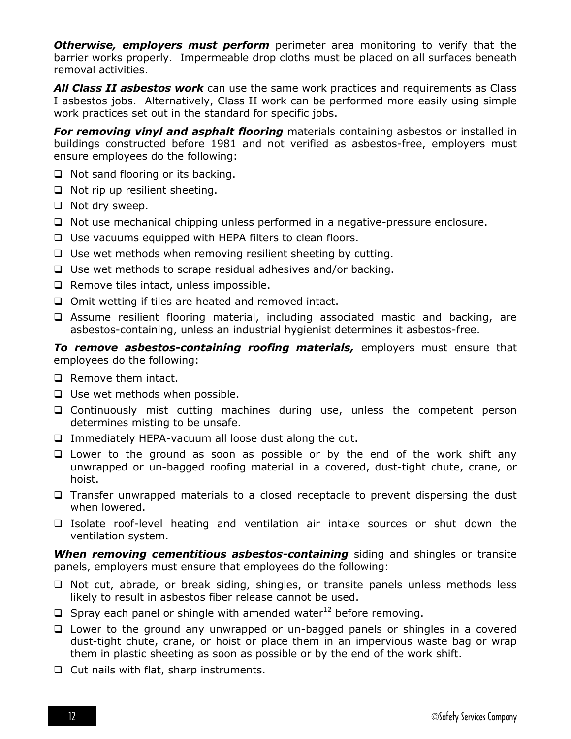**Otherwise, employers must perform** perimeter area monitoring to verify that the barrier works properly. Impermeable drop cloths must be placed on all surfaces beneath removal activities.

*All Class II asbestos work* can use the same work practices and requirements as Class I asbestos jobs. Alternatively, Class II work can be performed more easily using simple work practices set out in the standard for specific jobs.

*For removing vinyl and asphalt flooring* materials containing asbestos or installed in buildings constructed before 1981 and not verified as asbestos-free, employers must ensure employees do the following:

- $\Box$  Not sand flooring or its backing.
- $\Box$  Not rip up resilient sheeting.
- $\Box$  Not dry sweep.
- $\Box$  Not use mechanical chipping unless performed in a negative-pressure enclosure.
- $\Box$  Use vacuums equipped with HEPA filters to clean floors.
- $\Box$  Use wet methods when removing resilient sheeting by cutting.
- $\Box$  Use wet methods to scrape residual adhesives and/or backing.
- $\Box$  Remove tiles intact, unless impossible.
- $\Box$  Omit wetting if tiles are heated and removed intact.
- Assume resilient flooring material, including associated mastic and backing, are asbestos-containing, unless an industrial hygienist determines it asbestos-free.

*To remove asbestos-containing roofing materials,* employers must ensure that employees do the following:

- $\Box$  Remove them intact.
- $\Box$  Use wet methods when possible.
- $\Box$  Continuously mist cutting machines during use, unless the competent person determines misting to be unsafe.
- $\Box$  Immediately HEPA-vacuum all loose dust along the cut.
- $\Box$  Lower to the ground as soon as possible or by the end of the work shift any unwrapped or un-bagged roofing material in a covered, dust-tight chute, crane, or hoist.
- $\Box$  Transfer unwrapped materials to a closed receptacle to prevent dispersing the dust when lowered.
- Isolate roof-level heating and ventilation air intake sources or shut down the ventilation system.

*When removing cementitious asbestos-containing* siding and shingles or transite panels, employers must ensure that employees do the following:

- $\Box$  Not cut, abrade, or break siding, shingles, or transite panels unless methods less likely to result in asbestos fiber release cannot be used.
- $\Box$  Spray each panel or shingle with amended water<sup>12</sup> before removing.
- $\Box$  Lower to the ground any unwrapped or un-bagged panels or shingles in a covered dust-tight chute, crane, or hoist or place them in an impervious waste bag or wrap them in plastic sheeting as soon as possible or by the end of the work shift.
- $\Box$  Cut nails with flat, sharp instruments.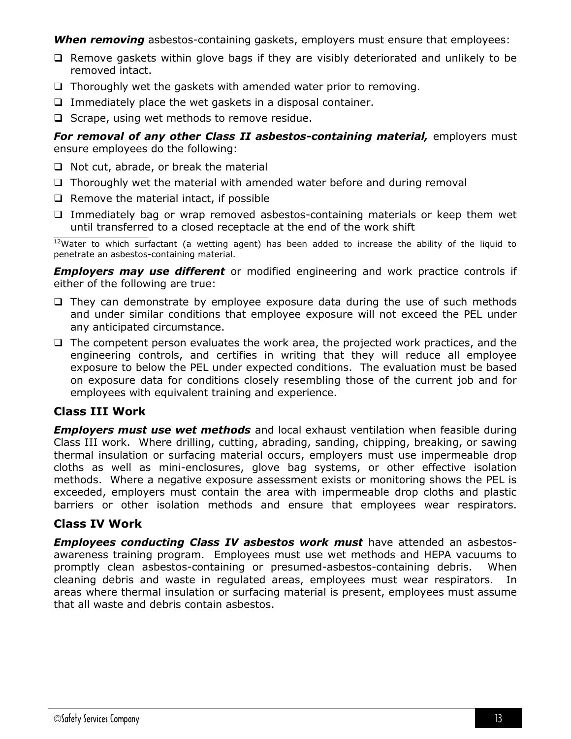**When removing** asbestos-containing gaskets, employers must ensure that employees:

- $\Box$  Remove gaskets within glove bags if they are visibly deteriorated and unlikely to be removed intact.
- $\Box$  Thoroughly wet the gaskets with amended water prior to removing.
- $\Box$  Immediately place the wet gaskets in a disposal container.
- $\Box$  Scrape, using wet methods to remove residue.

*For removal of any other Class II asbestos-containing material,* employers must ensure employees do the following:

- $\Box$  Not cut, abrade, or break the material
- $\Box$  Thoroughly wet the material with amended water before and during removal
- $\Box$  Remove the material intact, if possible
- $\Box$  Immediately bag or wrap removed asbestos-containing materials or keep them wet until transferred to a closed receptacle at the end of the work shift

 $\frac{12}{12}$ Water to which surfactant (a wetting agent) has been added to increase the ability of the liquid to penetrate an asbestos-containing material.

*Employers may use different* or modified engineering and work practice controls if either of the following are true:

- $\Box$  They can demonstrate by employee exposure data during the use of such methods and under similar conditions that employee exposure will not exceed the PEL under any anticipated circumstance.
- $\Box$  The competent person evaluates the work area, the projected work practices, and the engineering controls, and certifies in writing that they will reduce all employee exposure to below the PEL under expected conditions. The evaluation must be based on exposure data for conditions closely resembling those of the current job and for employees with equivalent training and experience.

## **Class III Work**

*Employers must use wet methods* and local exhaust ventilation when feasible during Class III work. Where drilling, cutting, abrading, sanding, chipping, breaking, or sawing thermal insulation or surfacing material occurs, employers must use impermeable drop cloths as well as mini-enclosures, glove bag systems, or other effective isolation methods. Where a negative exposure assessment exists or monitoring shows the PEL is exceeded, employers must contain the area with impermeable drop cloths and plastic barriers or other isolation methods and ensure that employees wear respirators.

## **Class IV Work**

*Employees conducting Class IV asbestos work must* have attended an asbestosawareness training program. Employees must use wet methods and HEPA vacuums to promptly clean asbestos-containing or presumed-asbestos-containing debris. When cleaning debris and waste in regulated areas, employees must wear respirators. In areas where thermal insulation or surfacing material is present, employees must assume that all waste and debris contain asbestos.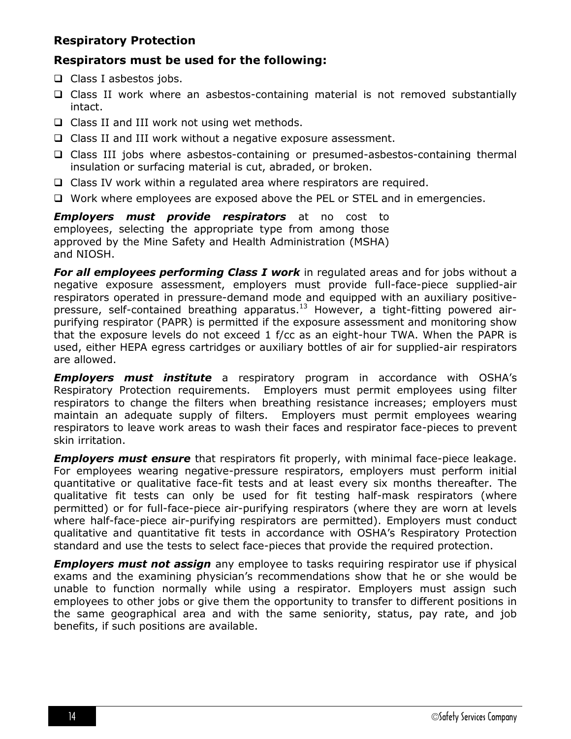## **Respiratory Protection**

## **Respirators must be used for the following:**

- $\Box$  Class I asbestos jobs.
- $\Box$  Class II work where an asbestos-containing material is not removed substantially intact.
- $\Box$  Class II and III work not using wet methods.
- □ Class II and III work without a negative exposure assessment.
- Class III jobs where asbestos-containing or presumed-asbestos-containing thermal insulation or surfacing material is cut, abraded, or broken.
- $\Box$  Class IV work within a regulated area where respirators are required.
- Work where employees are exposed above the PEL or STEL and in emergencies.

*Employers must provide respirators* at no cost to employees, selecting the appropriate type from among those approved by the Mine Safety and Health Administration (MSHA) and NIOSH.

**For all employees performing Class I work** in regulated areas and for jobs without a negative exposure assessment, employers must provide full-face-piece supplied-air respirators operated in pressure-demand mode and equipped with an auxiliary positivepressure, self-contained breathing apparatus.<sup>13</sup> However, a tight-fitting powered airpurifying respirator (PAPR) is permitted if the exposure assessment and monitoring show that the exposure levels do not exceed 1 f/cc as an eight-hour TWA. When the PAPR is used, either HEPA egress cartridges or auxiliary bottles of air for supplied-air respirators are allowed.

*Employers must institute* a respiratory program in accordance with OSHA's Respiratory Protection requirements. Employers must permit employees using filter respirators to change the filters when breathing resistance increases; employers must maintain an adequate supply of filters. Employers must permit employees wearing respirators to leave work areas to wash their faces and respirator face-pieces to prevent skin irritation.

*Employers must ensure* that respirators fit properly, with minimal face-piece leakage. For employees wearing negative-pressure respirators, employers must perform initial quantitative or qualitative face-fit tests and at least every six months thereafter. The qualitative fit tests can only be used for fit testing half-mask respirators (where permitted) or for full-face-piece air-purifying respirators (where they are worn at levels where half-face-piece air-purifying respirators are permitted). Employers must conduct qualitative and quantitative fit tests in accordance with OSHA's Respiratory Protection standard and use the tests to select face-pieces that provide the required protection.

*Employers must not assign* any employee to tasks requiring respirator use if physical exams and the examining physician's recommendations show that he or she would be unable to function normally while using a respirator. Employers must assign such employees to other jobs or give them the opportunity to transfer to different positions in the same geographical area and with the same seniority, status, pay rate, and job benefits, if such positions are available.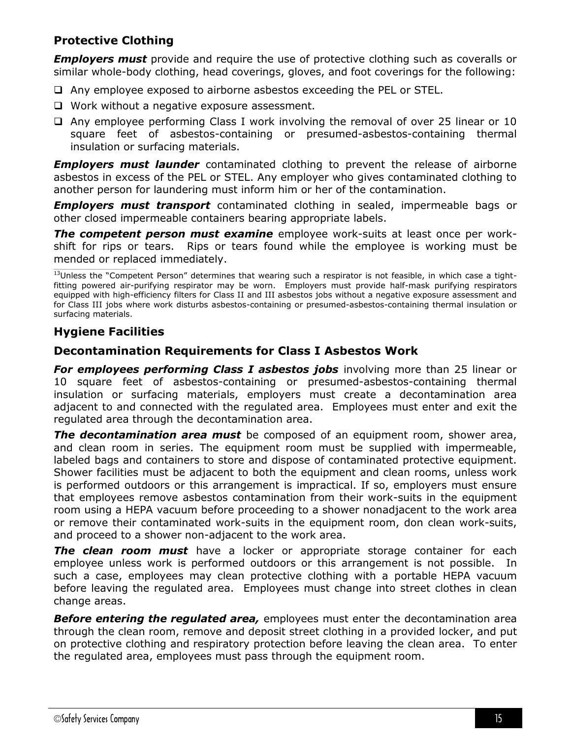## **Protective Clothing**

*Employers must* provide and require the use of protective clothing such as coveralls or similar whole-body clothing, head coverings, gloves, and foot coverings for the following:

- Any employee exposed to airborne asbestos exceeding the PEL or STEL.
- $\Box$  Work without a negative exposure assessment.
- $\Box$  Any employee performing Class I work involving the removal of over 25 linear or 10 square feet of asbestos-containing or presumed-asbestos-containing thermal insulation or surfacing materials.

*Employers must launder* contaminated clothing to prevent the release of airborne asbestos in excess of the PEL or STEL. Any employer who gives contaminated clothing to another person for laundering must inform him or her of the contamination.

*Employers must transport* contaminated clothing in sealed, impermeable bags or other closed impermeable containers bearing appropriate labels.

*The competent person must examine* employee work-suits at least once per workshift for rips or tears. Rips or tears found while the employee is working must be mended or replaced immediately.

 $13$ Unless the "Competent Person" determines that wearing such a respirator is not feasible, in which case a tightfitting powered air-purifying respirator may be worn. Employers must provide half-mask purifying respirators equipped with high-efficiency filters for Class II and III asbestos jobs without a negative exposure assessment and for Class III jobs where work disturbs asbestos-containing or presumed-asbestos-containing thermal insulation or surfacing materials.

## **Hygiene Facilities**

## **Decontamination Requirements for Class I Asbestos Work**

**For employees performing Class I asbestos jobs** involving more than 25 linear or 10 square feet of asbestos-containing or presumed-asbestos-containing thermal insulation or surfacing materials, employers must create a decontamination area adjacent to and connected with the regulated area. Employees must enter and exit the regulated area through the decontamination area.

*The decontamination area must* be composed of an equipment room, shower area, and clean room in series. The equipment room must be supplied with impermeable, labeled bags and containers to store and dispose of contaminated protective equipment. Shower facilities must be adjacent to both the equipment and clean rooms, unless work is performed outdoors or this arrangement is impractical. If so, employers must ensure that employees remove asbestos contamination from their work-suits in the equipment room using a HEPA vacuum before proceeding to a shower nonadjacent to the work area or remove their contaminated work-suits in the equipment room, don clean work-suits, and proceed to a shower non-adjacent to the work area.

*The clean room must* have a locker or appropriate storage container for each employee unless work is performed outdoors or this arrangement is not possible. In such a case, employees may clean protective clothing with a portable HEPA vacuum before leaving the regulated area. Employees must change into street clothes in clean change areas.

*Before entering the regulated area,* employees must enter the decontamination area through the clean room, remove and deposit street clothing in a provided locker, and put on protective clothing and respiratory protection before leaving the clean area. To enter the regulated area, employees must pass through the equipment room.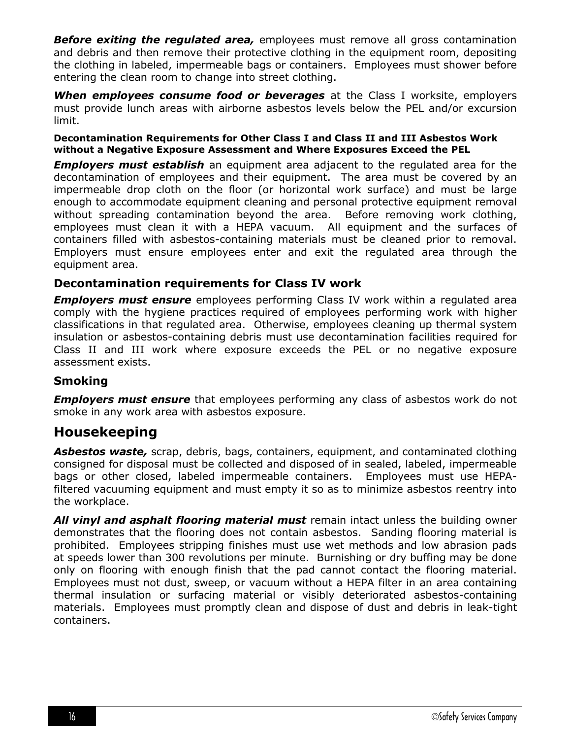**Before exiting the regulated area,** employees must remove all gross contamination and debris and then remove their protective clothing in the equipment room, depositing the clothing in labeled, impermeable bags or containers. Employees must shower before entering the clean room to change into street clothing.

*When employees consume food or beverages* at the Class I worksite, employers must provide lunch areas with airborne asbestos levels below the PEL and/or excursion limit.

#### **Decontamination Requirements for Other Class I and Class II and III Asbestos Work without a Negative Exposure Assessment and Where Exposures Exceed the PEL**

*Employers must establish* an equipment area adjacent to the regulated area for the decontamination of employees and their equipment. The area must be covered by an impermeable drop cloth on the floor (or horizontal work surface) and must be large enough to accommodate equipment cleaning and personal protective equipment removal without spreading contamination beyond the area. Before removing work clothing, employees must clean it with a HEPA vacuum. All equipment and the surfaces of containers filled with asbestos-containing materials must be cleaned prior to removal. Employers must ensure employees enter and exit the regulated area through the equipment area.

## **Decontamination requirements for Class IV work**

*Employers must ensure* employees performing Class IV work within a regulated area comply with the hygiene practices required of employees performing work with higher classifications in that regulated area. Otherwise, employees cleaning up thermal system insulation or asbestos-containing debris must use decontamination facilities required for Class II and III work where exposure exceeds the PEL or no negative exposure assessment exists.

## **Smoking**

**Employers must ensure** that employees performing any class of asbestos work do not smoke in any work area with asbestos exposure.

## **Housekeeping**

*Asbestos waste,* scrap, debris, bags, containers, equipment, and contaminated clothing consigned for disposal must be collected and disposed of in sealed, labeled, impermeable bags or other closed, labeled impermeable containers. Employees must use HEPAfiltered vacuuming equipment and must empty it so as to minimize asbestos reentry into the workplace.

*All vinyl and asphalt flooring material must* remain intact unless the building owner demonstrates that the flooring does not contain asbestos. Sanding flooring material is prohibited. Employees stripping finishes must use wet methods and low abrasion pads at speeds lower than 300 revolutions per minute. Burnishing or dry buffing may be done only on flooring with enough finish that the pad cannot contact the flooring material. Employees must not dust, sweep, or vacuum without a HEPA filter in an area containing thermal insulation or surfacing material or visibly deteriorated asbestos-containing materials. Employees must promptly clean and dispose of dust and debris in leak-tight containers.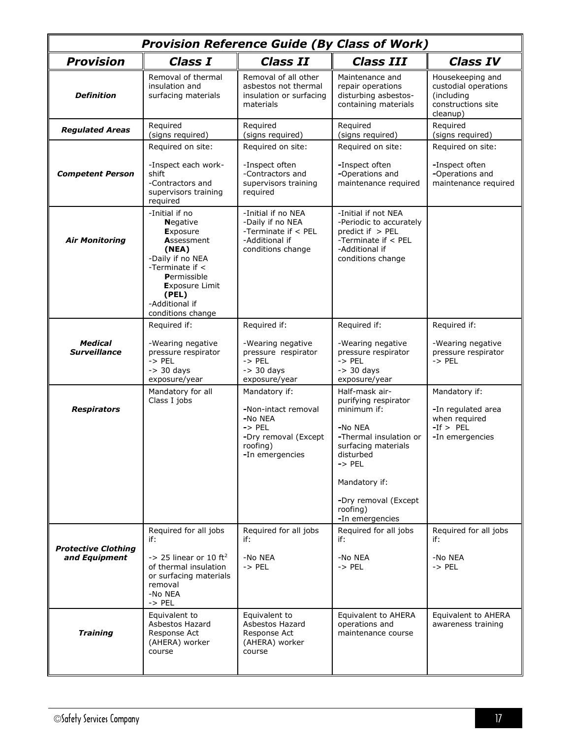| <b>Provision Reference Guide (By Class of Work)</b> |                                                                                                                                                                                                            |                                                                                                                             |                                                                                                                                                                                                                             |                                                                                          |
|-----------------------------------------------------|------------------------------------------------------------------------------------------------------------------------------------------------------------------------------------------------------------|-----------------------------------------------------------------------------------------------------------------------------|-----------------------------------------------------------------------------------------------------------------------------------------------------------------------------------------------------------------------------|------------------------------------------------------------------------------------------|
| <b>Provision</b>                                    | Class I                                                                                                                                                                                                    | <b>Class II</b>                                                                                                             | <b>Class III</b>                                                                                                                                                                                                            | <b>Class IV</b>                                                                          |
| <b>Definition</b>                                   | Removal of thermal<br>insulation and<br>surfacing materials                                                                                                                                                | Removal of all other<br>asbestos not thermal<br>insulation or surfacing<br>materials                                        | Maintenance and<br>repair operations<br>disturbing asbestos-<br>containing materials                                                                                                                                        | Housekeeping and<br>custodial operations<br>(including<br>constructions site<br>cleanup) |
| <b>Regulated Areas</b>                              | Required<br>(signs required)                                                                                                                                                                               | Required<br>(signs required)                                                                                                | Required<br>(signs required)                                                                                                                                                                                                | Required<br>(signs required)                                                             |
| <b>Competent Person</b>                             | Required on site:<br>-Inspect each work-<br>shift<br>-Contractors and<br>supervisors training<br>required                                                                                                  | Required on site:<br>-Inspect often<br>-Contractors and<br>supervisors training<br>required                                 | Required on site:<br>-Inspect often<br>-Operations and<br>maintenance required                                                                                                                                              | Required on site:<br>-Inspect often<br>-Operations and<br>maintenance required           |
| <b>Air Monitoring</b>                               | -Initial if no<br><b>Negative</b><br><b>Exposure</b><br>Assessment<br>(NEA)<br>-Daily if no NEA<br>-Terminate if <<br>Permissible<br><b>Exposure Limit</b><br>(PEL)<br>-Additional if<br>conditions change | -Initial if no NEA<br>-Daily if no NEA<br>-Terminate if < PEL<br>-Additional if<br>conditions change                        | -Initial if not NEA<br>-Periodic to accurately<br>predict if $>$ PEL<br>-Terminate if < PEL<br>-Additional if<br>conditions change                                                                                          |                                                                                          |
|                                                     | Required if:                                                                                                                                                                                               | Required if:                                                                                                                | Required if:                                                                                                                                                                                                                | Required if:                                                                             |
| <b>Medical</b><br><b>Surveillance</b>               | -Wearing negative<br>pressure respirator<br>$\rightarrow$ PEL<br>$-$ 30 days<br>exposure/year                                                                                                              | -Wearing negative<br>pressure respirator<br>$->$ PEL<br>$-$ 30 days<br>exposure/year                                        | -Wearing negative<br>pressure respirator<br>$->$ PEL<br>$-$ 30 days<br>exposure/year                                                                                                                                        | -Wearing negative<br>pressure respirator<br>$\rightarrow$ PEL                            |
| <b>Respirators</b>                                  | Mandatory for all<br>Class I jobs                                                                                                                                                                          | Mandatory if:<br>-Non-intact removal<br>-No NEA<br>$\rightarrow$ PEL<br>-Dry removal (Except<br>roofing)<br>-In emergencies | Half-mask air-<br>purifying respirator<br>minimum if:<br>-No NEA<br>-Thermal insulation or<br>surfacing materials<br>disturbed<br>$\rightarrow$ PEL<br>Mandatory if:<br>-Dry removal (Except<br>roofing)<br>-In emergencies | Mandatory if:<br>-In regulated area<br>when required<br>$-If > PEL$<br>-In emergencies   |
| <b>Protective Clothing</b><br>and Equipment         | Required for all jobs<br>if:<br>$\rightarrow$ 25 linear or 10 ft <sup>2</sup><br>of thermal insulation<br>or surfacing materials<br>removal<br>-No NEA<br>$->$ PEL                                         | Required for all jobs<br>if:<br>-No NEA<br>$->$ PEL                                                                         | Required for all jobs<br>if:<br>-No NEA<br>$\rightarrow$ PEL                                                                                                                                                                | Required for all jobs<br>if:<br>-No NEA<br>$\rightarrow$ PEL                             |
| <b>Training</b>                                     | Equivalent to<br>Asbestos Hazard<br>Response Act<br>(AHERA) worker<br>course                                                                                                                               | Equivalent to<br>Asbestos Hazard<br>Response Act<br>(AHERA) worker<br>course                                                | Equivalent to AHERA<br>operations and<br>maintenance course                                                                                                                                                                 | Equivalent to AHERA<br>awareness training                                                |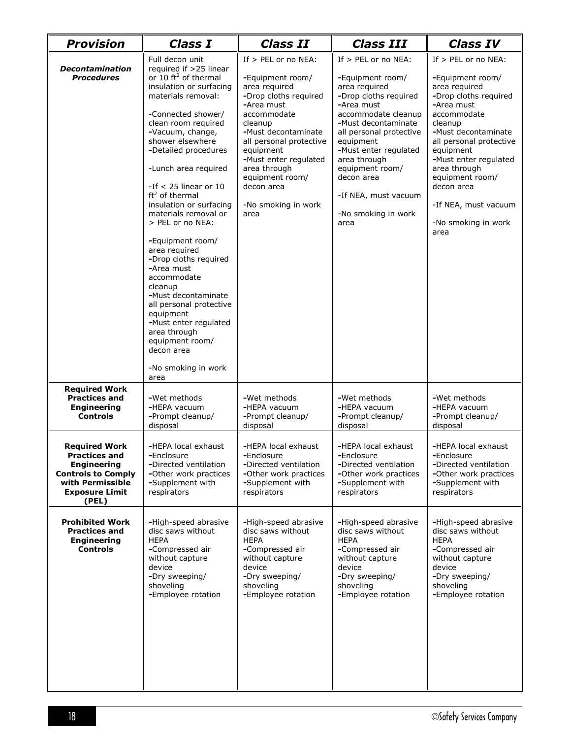| <b>Provision</b>                                                                                                                                      | <b>Class I</b>                                                                                                                                                                                                                                                                                                                                                                                                                                                                                                                                                                                                                                                 | <b>Class II</b>                                                                                                                                                                                                                                                                                     | <b>Class III</b>                                                                                                                                                                                                                                                                                                         | <b>Class IV</b>                                                                                                                                                                                                                                                                                                           |
|-------------------------------------------------------------------------------------------------------------------------------------------------------|----------------------------------------------------------------------------------------------------------------------------------------------------------------------------------------------------------------------------------------------------------------------------------------------------------------------------------------------------------------------------------------------------------------------------------------------------------------------------------------------------------------------------------------------------------------------------------------------------------------------------------------------------------------|-----------------------------------------------------------------------------------------------------------------------------------------------------------------------------------------------------------------------------------------------------------------------------------------------------|--------------------------------------------------------------------------------------------------------------------------------------------------------------------------------------------------------------------------------------------------------------------------------------------------------------------------|---------------------------------------------------------------------------------------------------------------------------------------------------------------------------------------------------------------------------------------------------------------------------------------------------------------------------|
| <b>Decontamination</b><br><b>Procedures</b>                                                                                                           | Full decon unit<br>required if >25 linear<br>or 10 $ft^2$ of thermal<br>insulation or surfacing<br>materials removal:<br>-Connected shower/<br>clean room required<br>-Vacuum, change,<br>shower elsewhere<br>-Detailed procedures<br>-Lunch area required<br>-If $<$ 25 linear or 10<br>$ft2$ of thermal<br>insulation or surfacing<br>materials removal or<br>> PEL or no NEA:<br>-Equipment room/<br>area required<br>-Drop cloths required<br>-Area must<br>accommodate<br>cleanup<br>-Must decontaminate<br>all personal protective<br>equipment<br>-Must enter regulated<br>area through<br>equipment room/<br>decon area<br>-No smoking in work<br>area | If $>$ PEL or no NEA:<br>-Equipment room/<br>area required<br>-Drop cloths required<br>-Area must<br>accommodate<br>cleanup<br>-Must decontaminate<br>all personal protective<br>equipment<br>-Must enter regulated<br>area through<br>equipment room/<br>decon area<br>-No smoking in work<br>area | If $>$ PEL or no NEA:<br>-Equipment room/<br>area required<br>-Drop cloths required<br>-Area must<br>accommodate cleanup<br>-Must decontaminate<br>all personal protective<br>equipment<br>-Must enter regulated<br>area through<br>equipment room/<br>decon area<br>-If NEA, must vacuum<br>-No smoking in work<br>area | If > PEL or no NEA:<br>-Equipment room/<br>area required<br>-Drop cloths required<br>-Area must<br>accommodate<br>cleanup<br>-Must decontaminate<br>all personal protective<br>equipment<br>-Must enter regulated<br>area through<br>equipment room/<br>decon area<br>-If NEA, must vacuum<br>-No smoking in work<br>area |
| <b>Required Work</b><br><b>Practices and</b><br><b>Engineering</b><br><b>Controls</b>                                                                 | -Wet methods<br>-HEPA vacuum<br>-Prompt cleanup/<br>disposal                                                                                                                                                                                                                                                                                                                                                                                                                                                                                                                                                                                                   | -Wet methods<br>-HEPA vacuum<br>-Prompt cleanup/<br>disposal                                                                                                                                                                                                                                        | -Wet methods<br>-HEPA vacuum<br>-Prompt cleanup/<br>disposal                                                                                                                                                                                                                                                             | -Wet methods<br>-HEPA vacuum<br>-Prompt cleanup/<br>disposal                                                                                                                                                                                                                                                              |
| <b>Required Work</b><br><b>Practices and</b><br><b>Engineering</b><br><b>Controls to Comply</b><br>with Permissible<br><b>Exposure Limit</b><br>(PEL) | -HEPA local exhaust<br>-Enclosure<br>-Directed ventilation<br>-Other work practices<br>-Supplement with<br>respirators                                                                                                                                                                                                                                                                                                                                                                                                                                                                                                                                         | -HEPA local exhaust<br>-Enclosure<br>-Directed ventilation<br>-Other work practices<br>-Supplement with<br>respirators                                                                                                                                                                              | -HEPA local exhaust<br>-Enclosure<br>-Directed ventilation<br>-Other work practices<br>-Supplement with<br>respirators                                                                                                                                                                                                   | -HEPA local exhaust<br>-Enclosure<br>-Directed ventilation<br>-Other work practices<br>-Supplement with<br>respirators                                                                                                                                                                                                    |
| <b>Prohibited Work</b><br><b>Practices and</b><br><b>Engineering</b><br><b>Controls</b>                                                               | -High-speed abrasive<br>disc saws without<br><b>HEPA</b><br>-Compressed air<br>without capture<br>device<br>-Dry sweeping/<br>shoveling<br>-Employee rotation                                                                                                                                                                                                                                                                                                                                                                                                                                                                                                  | -High-speed abrasive<br>disc saws without<br><b>HEPA</b><br>-Compressed air<br>without capture<br>device<br>-Dry sweeping/<br>shoveling<br>-Employee rotation                                                                                                                                       | -High-speed abrasive<br>disc saws without<br><b>HEPA</b><br>-Compressed air<br>without capture<br>device<br>-Dry sweeping/<br>shoveling<br>-Employee rotation                                                                                                                                                            | -High-speed abrasive<br>disc saws without<br><b>HEPA</b><br>-Compressed air<br>without capture<br>device<br>-Dry sweeping/<br>shoveling<br>-Employee rotation                                                                                                                                                             |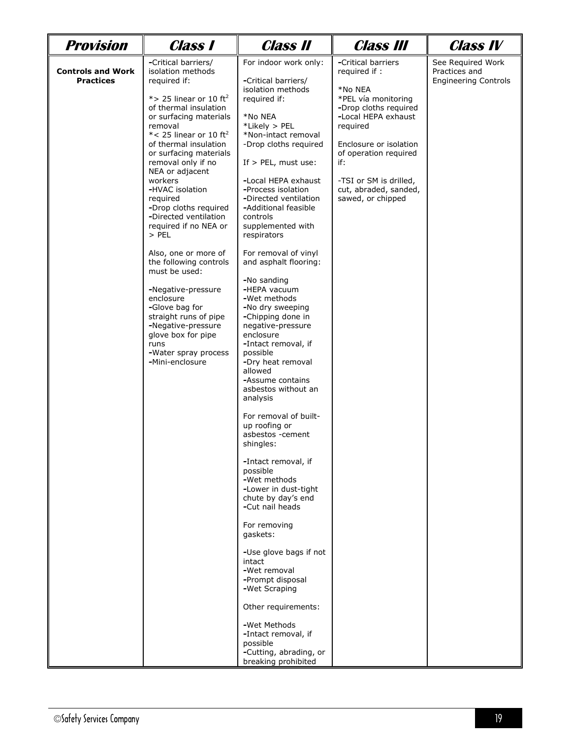| Provision                                    | <b>Class 1</b>                                                                                                                                                                                                                                                                                                                                                                                                                                                                                                                                                                                                                                                                    | <b>Class II</b>                                                                                                                                                                                                                                                                                                                                                                                                                                                                                                                                                                                                                                                                                                                                                                                                                                                                                                                                                                                                             | <b>Class III</b>                                                                                                                                                                                                                                                    | <b>Class IV</b>                                                   |
|----------------------------------------------|-----------------------------------------------------------------------------------------------------------------------------------------------------------------------------------------------------------------------------------------------------------------------------------------------------------------------------------------------------------------------------------------------------------------------------------------------------------------------------------------------------------------------------------------------------------------------------------------------------------------------------------------------------------------------------------|-----------------------------------------------------------------------------------------------------------------------------------------------------------------------------------------------------------------------------------------------------------------------------------------------------------------------------------------------------------------------------------------------------------------------------------------------------------------------------------------------------------------------------------------------------------------------------------------------------------------------------------------------------------------------------------------------------------------------------------------------------------------------------------------------------------------------------------------------------------------------------------------------------------------------------------------------------------------------------------------------------------------------------|---------------------------------------------------------------------------------------------------------------------------------------------------------------------------------------------------------------------------------------------------------------------|-------------------------------------------------------------------|
| <b>Controls and Work</b><br><b>Practices</b> | -Critical barriers/<br>isolation methods<br>required if:<br>*> 25 linear or 10 ft <sup>2</sup><br>of thermal insulation<br>or surfacing materials<br>removal<br>$*$ < 25 linear or 10 ft <sup>2</sup><br>of thermal insulation<br>or surfacing materials<br>removal only if no<br>NEA or adjacent<br>workers<br>-HVAC isolation<br>required<br>-Drop cloths required<br>-Directed ventilation<br>required if no NEA or<br>$>$ PEL<br>Also, one or more of<br>the following controls<br>must be used:<br>-Negative-pressure<br>enclosure<br>-Glove bag for<br>straight runs of pipe<br>-Negative-pressure<br>glove box for pipe<br>runs<br>-Water spray process<br>-Mini-enclosure | For indoor work only:<br>-Critical barriers/<br>isolation methods<br>required if:<br>*No NEA<br>*Likely > PEL<br>*Non-intact removal<br>-Drop cloths required<br>If $>$ PEL, must use:<br>-Local HEPA exhaust<br>-Process isolation<br>-Directed ventilation<br>-Additional feasible<br>controls<br>supplemented with<br>respirators<br>For removal of vinyl<br>and asphalt flooring:<br>-No sanding<br>-HEPA vacuum<br>-Wet methods<br>-No dry sweeping<br>-Chipping done in<br>negative-pressure<br>enclosure<br>-Intact removal, if<br>possible<br>-Dry heat removal<br>allowed<br>-Assume contains<br>asbestos without an<br>analysis<br>For removal of built-<br>up roofing or<br>asbestos -cement<br>shingles:<br>-Intact removal, if<br>possible<br>-Wet methods<br>-Lower in dust-tight<br>chute by day's end<br>-Cut nail heads<br>For removing<br>gaskets:<br>-Use glove bags if not<br>intact<br>-Wet removal<br>-Prompt disposal<br>-Wet Scraping<br>Other requirements:<br>-Wet Methods<br>-Intact removal, if | -Critical barriers<br>required if :<br>*No NEA<br>*PEL vía monitoring<br>-Drop cloths required<br>-Local HEPA exhaust<br>required<br>Enclosure or isolation<br>of operation required<br>if:<br>-TSI or SM is drilled,<br>cut, abraded, sanded,<br>sawed, or chipped | See Required Work<br>Practices and<br><b>Engineering Controls</b> |
|                                              |                                                                                                                                                                                                                                                                                                                                                                                                                                                                                                                                                                                                                                                                                   | possible<br>-Cutting, abrading, or<br>breaking prohibited                                                                                                                                                                                                                                                                                                                                                                                                                                                                                                                                                                                                                                                                                                                                                                                                                                                                                                                                                                   |                                                                                                                                                                                                                                                                     |                                                                   |